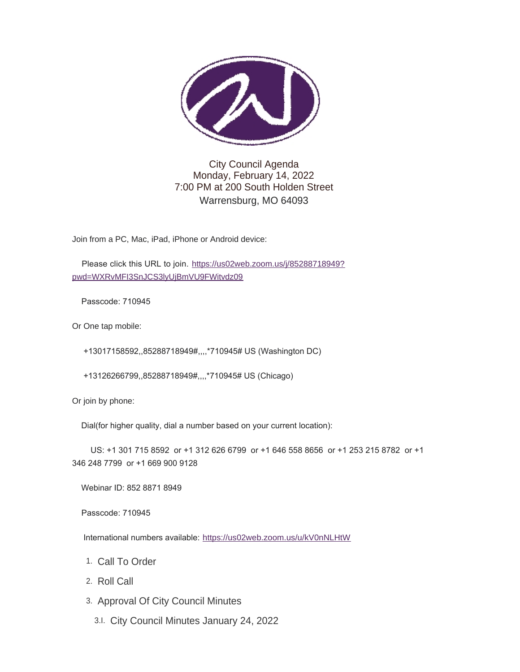

City Council Agenda Monday, February 14, 2022 7:00 PM at 200 South Holden Street Warrensburg, MO 64093

Join from a PC, Mac, iPad, iPhone or Android device:

Please click this URL to join. [https://us02web.zoom.us/j/85288718949?](https://us02web.zoom.us/j/85288718949?pwd=WXRvMFI3SnJCS3lyUjBmVU9FWitvdz09) pwd=WXRvMFI3SnJCS3lyUjBmVU9FWitvdz09

Passcode: 710945

Or One tap mobile:

+13017158592,,85288718949#,,,,\*710945# US (Washington DC)

+13126266799,,85288718949#,,,,\*710945# US (Chicago)

Or join by phone:

Dial(for higher quality, dial a number based on your current location):

 US: +1 301 715 8592 or +1 312 626 6799 or +1 646 558 8656 or +1 253 215 8782 or +1 346 248 7799 or +1 669 900 9128

Webinar ID: 852 8871 8949

Passcode: 710945

International numbers available: <https://us02web.zoom.us/u/kV0nNLHtW>

- 1. Call To Order
- 2. Roll Call
- 3. Approval Of City Council Minutes
	- City Council Minutes January 24, 2022 3.I.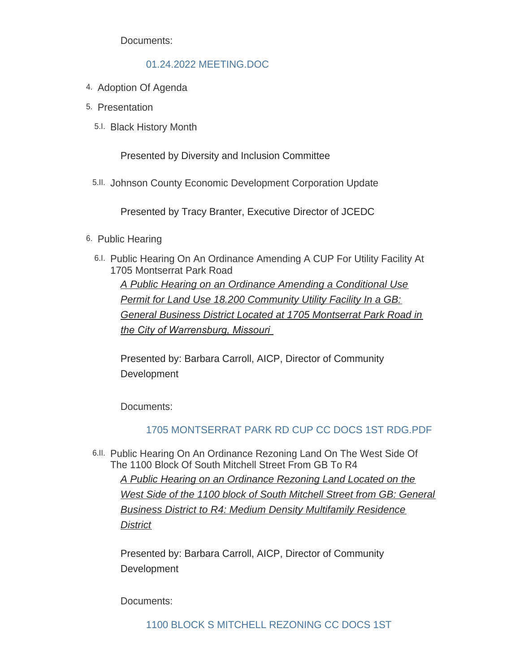Documents:

## [01.24.2022 MEETING.DOC](https://www.warrensburg-mo.com/AgendaCenter/ViewFile/Item/5940?fileID=10270)

- 4. Adoption Of Agenda
- 5. Presentation
	- 5.I. Black History Month

Presented by Diversity and Inclusion Committee

5.II. Johnson County Economic Development Corporation Update

Presented by Tracy Branter, Executive Director of JCEDC

- 6. Public Hearing
	- 6.I. Public Hearing On An Ordinance Amending A CUP For Utility Facility At 1705 Montserrat Park Road *A Public Hearing on an Ordinance Amending a Conditional Use*

*Permit for Land Use 18.200 Community Utility Facility In a GB: General Business District Located at 1705 Montserrat Park Road in the City of Warrensburg, Missouri* 

Presented by: Barbara Carroll, AICP, Director of Community Development

Documents:

# [1705 MONTSERRAT PARK RD CUP CC DOCS 1ST RDG.PDF](https://www.warrensburg-mo.com/AgendaCenter/ViewFile/Item/5931?fileID=10321)

6.II. Public Hearing On An Ordinance Rezoning Land On The West Side Of The 1100 Block Of South Mitchell Street From GB To R4 *A Public Hearing on an Ordinance Rezoning Land Located on the West Side of the 1100 block of South Mitchell Street from GB: General Business District to R4: Medium Density Multifamily Residence District*

Presented by: Barbara Carroll, AICP, Director of Community **Development** 

Documents: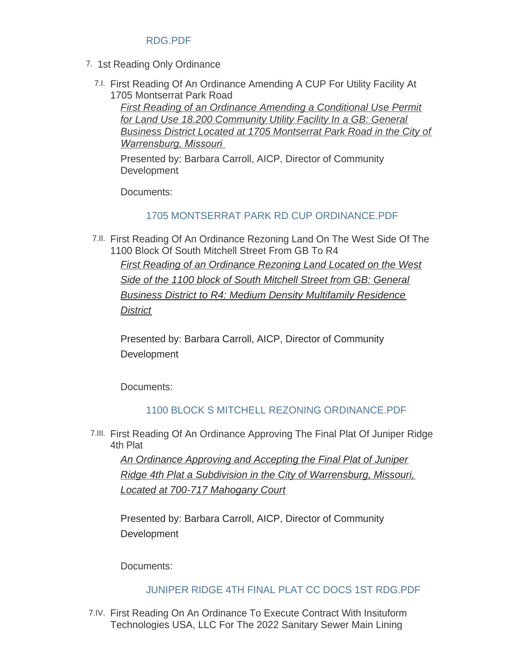## RDG.PDF

- 7. 1st Reading Only Ordinance
	- First Reading Of An Ordinance Amending A CUP For Utility Facility At 7.I. 1705 Montserrat Park Road

*First Reading of an Ordinance Amending a Conditional Use Permit for Land Use 18.200 Community Utility Facility In a GB: General Business District Located at 1705 Montserrat Park Road in the City of Warrensburg, Missouri* 

Presented by: Barbara Carroll, AICP, Director of Community **Development** 

Documents:

## [1705 MONTSERRAT PARK RD CUP ORDINANCE.PDF](https://www.warrensburg-mo.com/AgendaCenter/ViewFile/Item/5932?fileID=10322)

7.II. First Reading Of An Ordinance Rezoning Land On The West Side Of The 1100 Block Of South Mitchell Street From GB To R4

*First Reading of an Ordinance Rezoning Land Located on the West Side of the 1100 block of South Mitchell Street from GB: General Business District to R4: Medium Density Multifamily Residence District*

Presented by: Barbara Carroll, AICP, Director of Community **Development** 

Documents:

## 1100 BLOCK S MITCHELL REZONING ORDINANCE PDF

First Reading Of An Ordinance Approving The Final Plat Of Juniper Ridge 7.III. 4th Plat

*An Ordinance Approving and Accepting the Final Plat of Juniper Ridge 4th Plat a Subdivision in the City of Warrensburg, Missouri, Located at 700-717 Mahogany Court*

Presented by: Barbara Carroll, AICP, Director of Community **Development** 

Documents:

## [JUNIPER RIDGE 4TH FINAL PLAT CC DOCS 1ST RDG.PDF](https://www.warrensburg-mo.com/AgendaCenter/ViewFile/Item/5884?fileID=10323)

First Reading On An Ordinance To Execute Contract With Insituform 7.IV. Technologies USA, LLC For The 2022 Sanitary Sewer Main Lining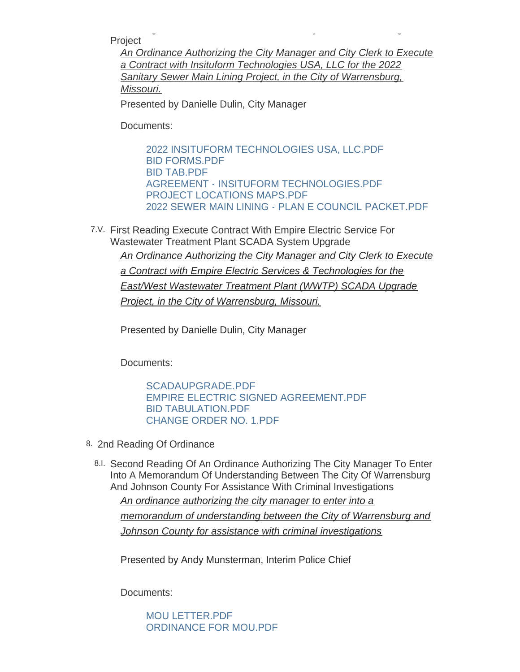Technologies USA, LLC For The 2022 Sanitary Sewer Main Lining Project

*An Ordinance Authorizing the City Manager and City Clerk to Execute a Contract with Insituform Technologies USA, LLC for the 2022 Sanitary Sewer Main Lining Project, in the City of Warrensburg, Missouri.*

Presented by Danielle Dulin, City Manager

Documents:

[2022 INSITUFORM TECHNOLOGIES USA, LLC.PDF](https://www.warrensburg-mo.com/AgendaCenter/ViewFile/Item/5967?fileID=10312) [BID FORMS.PDF](https://www.warrensburg-mo.com/AgendaCenter/ViewFile/Item/5967?fileID=10315) [BID TAB.PDF](https://www.warrensburg-mo.com/AgendaCenter/ViewFile/Item/5967?fileID=10316) [AGREEMENT - INSITUFORM TECHNOLOGIES.PDF](https://www.warrensburg-mo.com/AgendaCenter/ViewFile/Item/5967?fileID=10314) [PROJECT LOCATIONS MAPS.PDF](https://www.warrensburg-mo.com/AgendaCenter/ViewFile/Item/5967?fileID=10317) [2022 SEWER MAIN LINING - PLAN E COUNCIL PACKET.PDF](https://www.warrensburg-mo.com/AgendaCenter/ViewFile/Item/5967?fileID=10313)

First Reading Execute Contract With Empire Electric Service For 7.V. Wastewater Treatment Plant SCADA System Upgrade *An Ordinance Authorizing the City Manager and City Clerk to Execute a Contract with Empire Electric Services & Technologies for the East/West Wastewater Treatment Plant (WWTP) SCADA Upgrade Project, in the City of Warrensburg, Missouri.*

Presented by Danielle Dulin, City Manager

Documents:

[SCADAUPGRADE.PDF](https://www.warrensburg-mo.com/AgendaCenter/ViewFile/Item/5972?fileID=10331) [EMPIRE ELECTRIC SIGNED AGREEMENT.PDF](https://www.warrensburg-mo.com/AgendaCenter/ViewFile/Item/5972?fileID=10326) [BID TABULATION.PDF](https://www.warrensburg-mo.com/AgendaCenter/ViewFile/Item/5972?fileID=10327) [CHANGE ORDER NO. 1.PDF](https://www.warrensburg-mo.com/AgendaCenter/ViewFile/Item/5972?fileID=10328)

- 8. 2nd Reading Of Ordinance
	- 8.I. Second Reading Of An Ordinance Authorizing The City Manager To Enter Into A Memorandum Of Understanding Between The City Of Warrensburg And Johnson County For Assistance With Criminal Investigations

*An ordinance authorizing the city manager to enter into a memorandum of understanding between the City of Warrensburg and Johnson County for assistance with criminal investigations*

Presented by Andy Munsterman, Interim Police Chief

Documents:

[MOU LETTER.PDF](https://www.warrensburg-mo.com/AgendaCenter/ViewFile/Item/5925?fileID=10261) [ORDINANCE FOR MOU.PDF](https://www.warrensburg-mo.com/AgendaCenter/ViewFile/Item/5925?fileID=10262)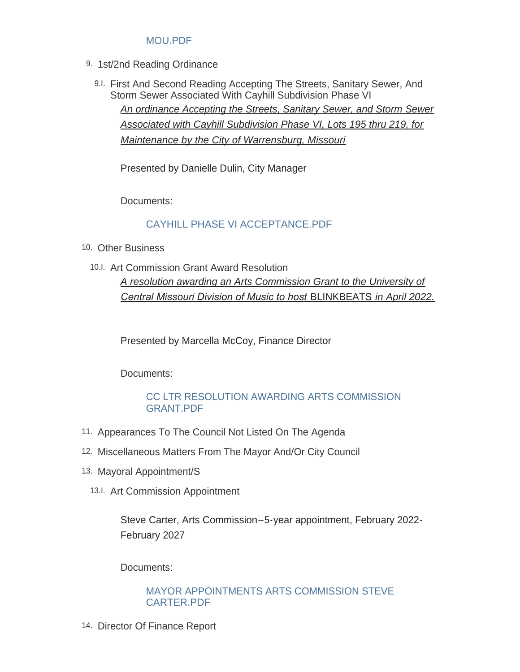## [MOU.PDF](https://www.warrensburg-mo.com/AgendaCenter/ViewFile/Item/5925?fileID=10263)

- 9. 1st/2nd Reading Ordinance
	- 9.I. First And Second Reading Accepting The Streets, Sanitary Sewer, And Storm Sewer Associated With Cayhill Subdivision Phase VI *An ordinance Accepting the Streets, Sanitary Sewer, and Storm Sewer Associated with Cayhill Subdivision Phase VI, Lots 195 thru 219, for Maintenance by the City of Warrensburg, Missouri*

Presented by Danielle Dulin, City Manager

Documents:

## [CAYHILL PHASE VI ACCEPTANCE.PDF](https://www.warrensburg-mo.com/AgendaCenter/ViewFile/Item/5968?fileID=10318)

- 10. Other Business
	- 10.I. Art Commission Grant Award Resolution *A resolution awarding an Arts Commission Grant to the University of Central Missouri Division of Music to host* BLINKBEATS *in April 2022.*

Presented by Marcella McCoy, Finance Director

Documents:

## [CC LTR RESOLUTION AWARDING ARTS COMMISSION](https://www.warrensburg-mo.com/AgendaCenter/ViewFile/Item/5964?fileID=10329)  GRANT.PDF

- 11. Appearances To The Council Not Listed On The Agenda
- 12. Miscellaneous Matters From The Mayor And/Or City Council
- 13. Mayoral Appointment/S
	- 13.I. Art Commission Appointment

Steve Carter, Arts Commission--5-year appointment, February 2022- February 2027

Documents:

#### [MAYOR APPOINTMENTS ARTS COMMISSION STEVE](https://www.warrensburg-mo.com/AgendaCenter/ViewFile/Item/5965?fileID=10348)  CARTER.PDF

14. Director Of Finance Report